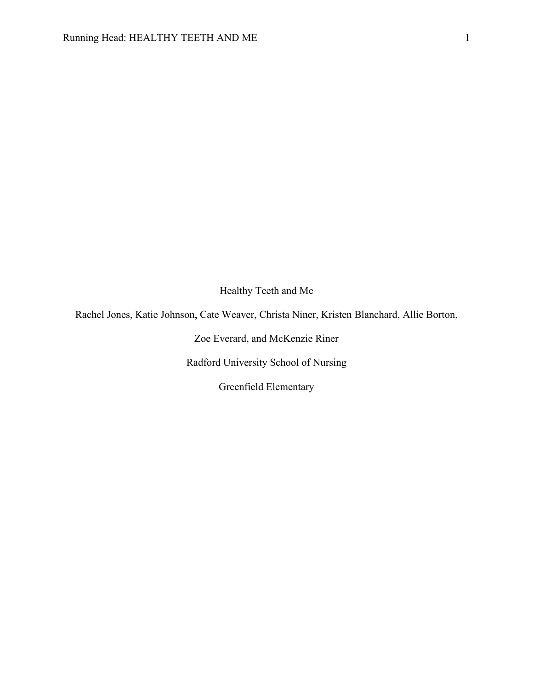Healthy Teeth and Me

Rachel Jones, Katie Johnson, Cate Weaver, Christa Niner, Kristen Blanchard, Allie Borton,

Zoe Everard, and McKenzie Riner

Radford University School of Nursing

Greenfield Elementary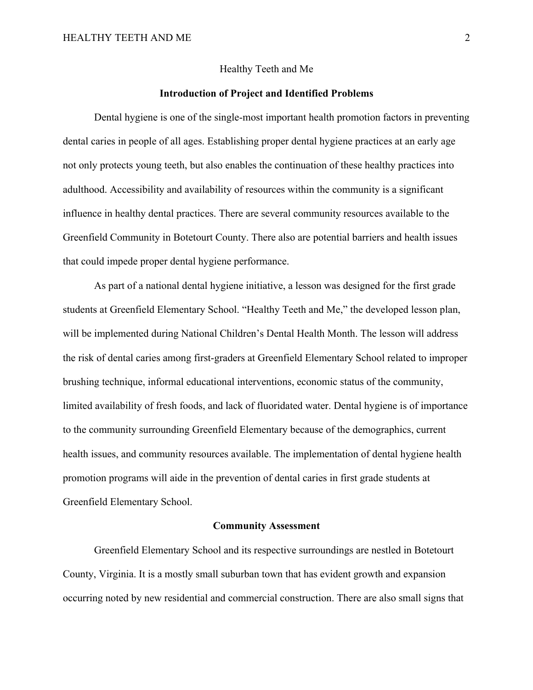# Healthy Teeth and Me

# **Introduction of Project and Identified Problems**

Dental hygiene is one of the single-most important health promotion factors in preventing dental caries in people of all ages. Establishing proper dental hygiene practices at an early age not only protects young teeth, but also enables the continuation of these healthy practices into adulthood. Accessibility and availability of resources within the community is a significant influence in healthy dental practices. There are several community resources available to the Greenfield Community in Botetourt County. There also are potential barriers and health issues that could impede proper dental hygiene performance.

As part of a national dental hygiene initiative, a lesson was designed for the first grade students at Greenfield Elementary School. "Healthy Teeth and Me," the developed lesson plan, will be implemented during National Children's Dental Health Month. The lesson will address the risk of dental caries among first-graders at Greenfield Elementary School related to improper brushing technique, informal educational interventions, economic status of the community, limited availability of fresh foods, and lack of fluoridated water. Dental hygiene is of importance to the community surrounding Greenfield Elementary because of the demographics, current health issues, and community resources available. The implementation of dental hygiene health promotion programs will aide in the prevention of dental caries in first grade students at Greenfield Elementary School.

# **Community Assessment**

Greenfield Elementary School and its respective surroundings are nestled in Botetourt County, Virginia. It is a mostly small suburban town that has evident growth and expansion occurring noted by new residential and commercial construction. There are also small signs that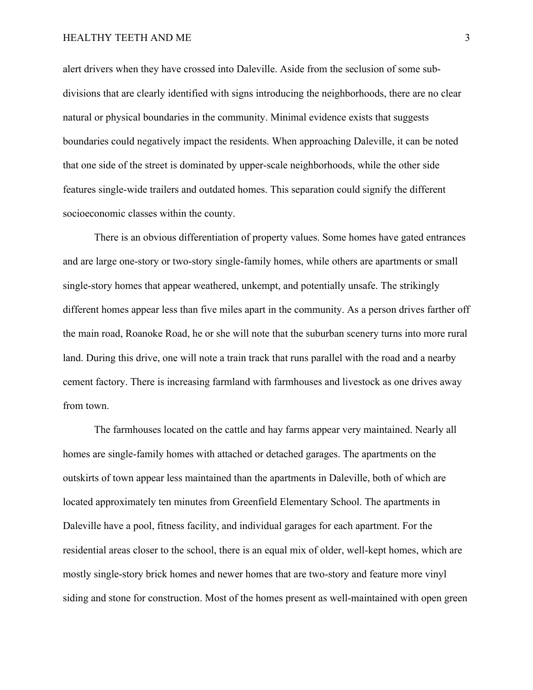alert drivers when they have crossed into Daleville. Aside from the seclusion of some subdivisions that are clearly identified with signs introducing the neighborhoods, there are no clear natural or physical boundaries in the community. Minimal evidence exists that suggests boundaries could negatively impact the residents. When approaching Daleville, it can be noted that one side of the street is dominated by upper-scale neighborhoods, while the other side features single-wide trailers and outdated homes. This separation could signify the different socioeconomic classes within the county.

There is an obvious differentiation of property values. Some homes have gated entrances and are large one-story or two-story single-family homes, while others are apartments or small single-story homes that appear weathered, unkempt, and potentially unsafe. The strikingly different homes appear less than five miles apart in the community. As a person drives farther off the main road, Roanoke Road, he or she will note that the suburban scenery turns into more rural land. During this drive, one will note a train track that runs parallel with the road and a nearby cement factory. There is increasing farmland with farmhouses and livestock as one drives away from town.

The farmhouses located on the cattle and hay farms appear very maintained. Nearly all homes are single-family homes with attached or detached garages. The apartments on the outskirts of town appear less maintained than the apartments in Daleville, both of which are located approximately ten minutes from Greenfield Elementary School. The apartments in Daleville have a pool, fitness facility, and individual garages for each apartment. For the residential areas closer to the school, there is an equal mix of older, well-kept homes, which are mostly single-story brick homes and newer homes that are two-story and feature more vinyl siding and stone for construction. Most of the homes present as well-maintained with open green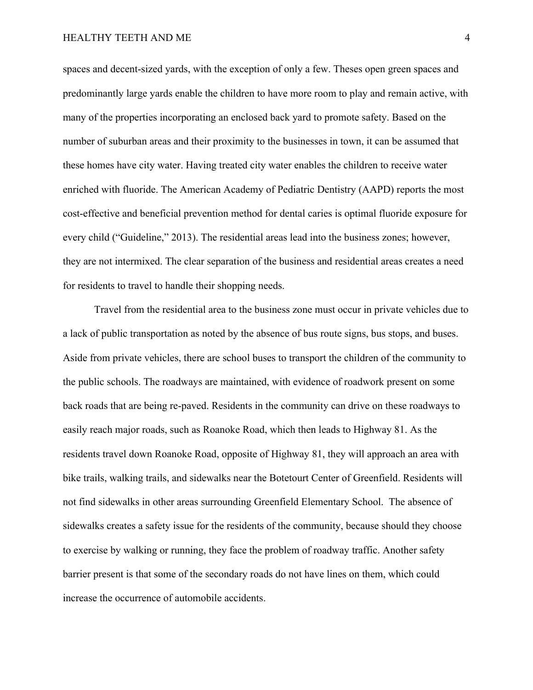spaces and decent-sized yards, with the exception of only a few. Theses open green spaces and predominantly large yards enable the children to have more room to play and remain active, with many of the properties incorporating an enclosed back yard to promote safety. Based on the number of suburban areas and their proximity to the businesses in town, it can be assumed that these homes have city water. Having treated city water enables the children to receive water enriched with fluoride. The American Academy of Pediatric Dentistry (AAPD) reports the most cost-effective and beneficial prevention method for dental caries is optimal fluoride exposure for every child ("Guideline," 2013). The residential areas lead into the business zones; however, they are not intermixed. The clear separation of the business and residential areas creates a need for residents to travel to handle their shopping needs.

Travel from the residential area to the business zone must occur in private vehicles due to a lack of public transportation as noted by the absence of bus route signs, bus stops, and buses. Aside from private vehicles, there are school buses to transport the children of the community to the public schools. The roadways are maintained, with evidence of roadwork present on some back roads that are being re-paved. Residents in the community can drive on these roadways to easily reach major roads, such as Roanoke Road, which then leads to Highway 81. As the residents travel down Roanoke Road, opposite of Highway 81, they will approach an area with bike trails, walking trails, and sidewalks near the Botetourt Center of Greenfield. Residents will not find sidewalks in other areas surrounding Greenfield Elementary School. The absence of sidewalks creates a safety issue for the residents of the community, because should they choose to exercise by walking or running, they face the problem of roadway traffic. Another safety barrier present is that some of the secondary roads do not have lines on them, which could increase the occurrence of automobile accidents.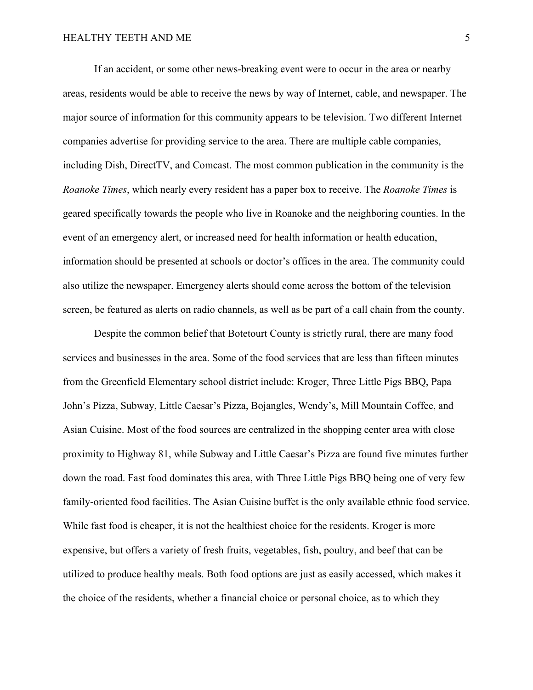If an accident, or some other news-breaking event were to occur in the area or nearby areas, residents would be able to receive the news by way of Internet, cable, and newspaper. The major source of information for this community appears to be television. Two different Internet companies advertise for providing service to the area. There are multiple cable companies, including Dish, DirectTV, and Comcast. The most common publication in the community is the *Roanoke Times*, which nearly every resident has a paper box to receive. The *Roanoke Times* is geared specifically towards the people who live in Roanoke and the neighboring counties. In the event of an emergency alert, or increased need for health information or health education, information should be presented at schools or doctor's offices in the area. The community could also utilize the newspaper. Emergency alerts should come across the bottom of the television screen, be featured as alerts on radio channels, as well as be part of a call chain from the county.

Despite the common belief that Botetourt County is strictly rural, there are many food services and businesses in the area. Some of the food services that are less than fifteen minutes from the Greenfield Elementary school district include: Kroger, Three Little Pigs BBQ, Papa John's Pizza, Subway, Little Caesar's Pizza, Bojangles, Wendy's, Mill Mountain Coffee, and Asian Cuisine. Most of the food sources are centralized in the shopping center area with close proximity to Highway 81, while Subway and Little Caesar's Pizza are found five minutes further down the road. Fast food dominates this area, with Three Little Pigs BBQ being one of very few family-oriented food facilities. The Asian Cuisine buffet is the only available ethnic food service. While fast food is cheaper, it is not the healthiest choice for the residents. Kroger is more expensive, but offers a variety of fresh fruits, vegetables, fish, poultry, and beef that can be utilized to produce healthy meals. Both food options are just as easily accessed, which makes it the choice of the residents, whether a financial choice or personal choice, as to which they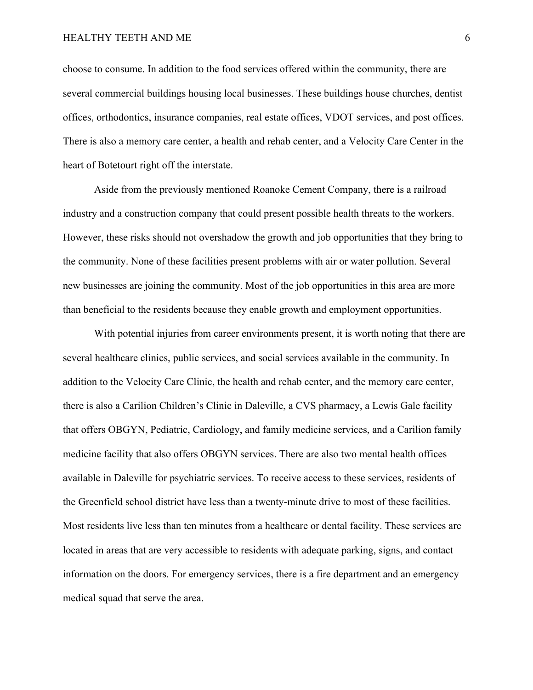choose to consume. In addition to the food services offered within the community, there are several commercial buildings housing local businesses. These buildings house churches, dentist offices, orthodontics, insurance companies, real estate offices, VDOT services, and post offices. There is also a memory care center, a health and rehab center, and a Velocity Care Center in the heart of Botetourt right off the interstate.

Aside from the previously mentioned Roanoke Cement Company, there is a railroad industry and a construction company that could present possible health threats to the workers. However, these risks should not overshadow the growth and job opportunities that they bring to the community. None of these facilities present problems with air or water pollution. Several new businesses are joining the community. Most of the job opportunities in this area are more than beneficial to the residents because they enable growth and employment opportunities.

With potential injuries from career environments present, it is worth noting that there are several healthcare clinics, public services, and social services available in the community. In addition to the Velocity Care Clinic, the health and rehab center, and the memory care center, there is also a Carilion Children's Clinic in Daleville, a CVS pharmacy, a Lewis Gale facility that offers OBGYN, Pediatric, Cardiology, and family medicine services, and a Carilion family medicine facility that also offers OBGYN services. There are also two mental health offices available in Daleville for psychiatric services. To receive access to these services, residents of the Greenfield school district have less than a twenty-minute drive to most of these facilities. Most residents live less than ten minutes from a healthcare or dental facility. These services are located in areas that are very accessible to residents with adequate parking, signs, and contact information on the doors. For emergency services, there is a fire department and an emergency medical squad that serve the area.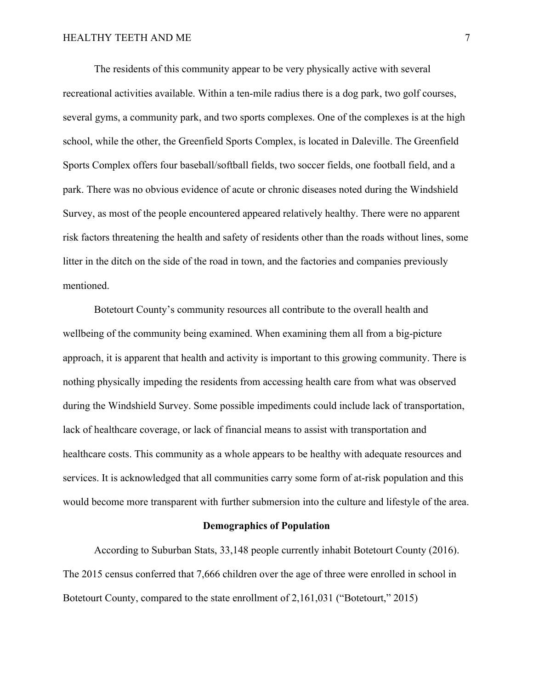The residents of this community appear to be very physically active with several recreational activities available. Within a ten-mile radius there is a dog park, two golf courses, several gyms, a community park, and two sports complexes. One of the complexes is at the high school, while the other, the Greenfield Sports Complex, is located in Daleville. The Greenfield Sports Complex offers four baseball/softball fields, two soccer fields, one football field, and a park. There was no obvious evidence of acute or chronic diseases noted during the Windshield Survey, as most of the people encountered appeared relatively healthy. There were no apparent risk factors threatening the health and safety of residents other than the roads without lines, some litter in the ditch on the side of the road in town, and the factories and companies previously mentioned.

Botetourt County's community resources all contribute to the overall health and wellbeing of the community being examined. When examining them all from a big-picture approach, it is apparent that health and activity is important to this growing community. There is nothing physically impeding the residents from accessing health care from what was observed during the Windshield Survey. Some possible impediments could include lack of transportation, lack of healthcare coverage, or lack of financial means to assist with transportation and healthcare costs. This community as a whole appears to be healthy with adequate resources and services. It is acknowledged that all communities carry some form of at-risk population and this would become more transparent with further submersion into the culture and lifestyle of the area.

#### **Demographics of Population**

According to Suburban Stats, 33,148 people currently inhabit Botetourt County (2016). The 2015 census conferred that 7,666 children over the age of three were enrolled in school in Botetourt County, compared to the state enrollment of 2,161,031 ("Botetourt," 2015)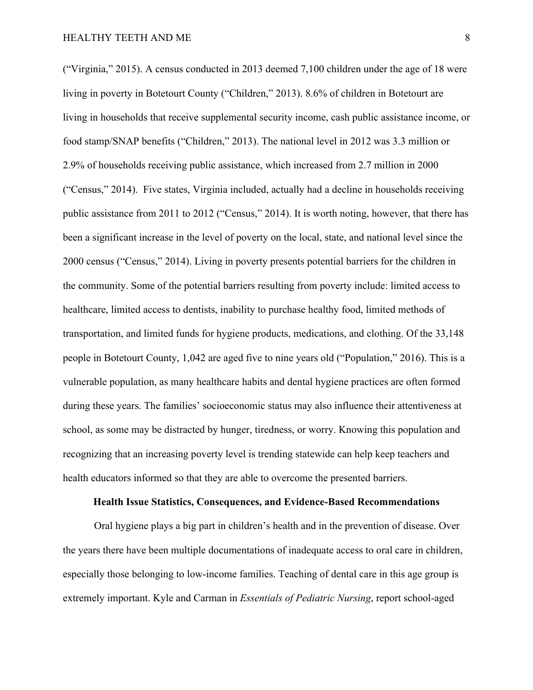("Virginia," 2015). A census conducted in 2013 deemed 7,100 children under the age of 18 were living in poverty in Botetourt County ("Children," 2013). 8.6% of children in Botetourt are living in households that receive supplemental security income, cash public assistance income, or food stamp/SNAP benefits ("Children," 2013). The national level in 2012 was 3.3 million or 2.9% of households receiving public assistance, which increased from 2.7 million in 2000 ("Census," 2014). Five states, Virginia included, actually had a decline in households receiving public assistance from 2011 to 2012 ("Census," 2014). It is worth noting, however, that there has been a significant increase in the level of poverty on the local, state, and national level since the 2000 census ("Census," 2014). Living in poverty presents potential barriers for the children in the community. Some of the potential barriers resulting from poverty include: limited access to healthcare, limited access to dentists, inability to purchase healthy food, limited methods of transportation, and limited funds for hygiene products, medications, and clothing. Of the 33,148 people in Botetourt County, 1,042 are aged five to nine years old ("Population," 2016). This is a vulnerable population, as many healthcare habits and dental hygiene practices are often formed during these years. The families' socioeconomic status may also influence their attentiveness at school, as some may be distracted by hunger, tiredness, or worry. Knowing this population and recognizing that an increasing poverty level is trending statewide can help keep teachers and health educators informed so that they are able to overcome the presented barriers.

#### **Health Issue Statistics, Consequences, and Evidence-Based Recommendations**

Oral hygiene plays a big part in children's health and in the prevention of disease. Over the years there have been multiple documentations of inadequate access to oral care in children, especially those belonging to low-income families. Teaching of dental care in this age group is extremely important. Kyle and Carman in *Essentials of Pediatric Nursing*, report school-aged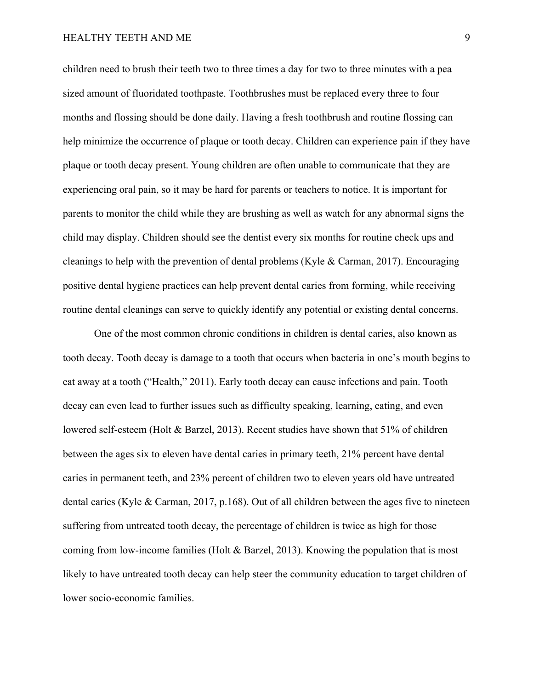children need to brush their teeth two to three times a day for two to three minutes with a pea sized amount of fluoridated toothpaste. Toothbrushes must be replaced every three to four months and flossing should be done daily. Having a fresh toothbrush and routine flossing can help minimize the occurrence of plaque or tooth decay. Children can experience pain if they have plaque or tooth decay present. Young children are often unable to communicate that they are experiencing oral pain, so it may be hard for parents or teachers to notice. It is important for parents to monitor the child while they are brushing as well as watch for any abnormal signs the child may display. Children should see the dentist every six months for routine check ups and cleanings to help with the prevention of dental problems (Kyle & Carman, 2017). Encouraging positive dental hygiene practices can help prevent dental caries from forming, while receiving routine dental cleanings can serve to quickly identify any potential or existing dental concerns.

One of the most common chronic conditions in children is dental caries, also known as tooth decay. Tooth decay is damage to a tooth that occurs when bacteria in one's mouth begins to eat away at a tooth ("Health," 2011). Early tooth decay can cause infections and pain. Tooth decay can even lead to further issues such as difficulty speaking, learning, eating, and even lowered self-esteem (Holt & Barzel, 2013). Recent studies have shown that 51% of children between the ages six to eleven have dental caries in primary teeth, 21% percent have dental caries in permanent teeth, and 23% percent of children two to eleven years old have untreated dental caries (Kyle & Carman, 2017, p.168). Out of all children between the ages five to nineteen suffering from untreated tooth decay, the percentage of children is twice as high for those coming from low-income families (Holt & Barzel, 2013). Knowing the population that is most likely to have untreated tooth decay can help steer the community education to target children of lower socio-economic families.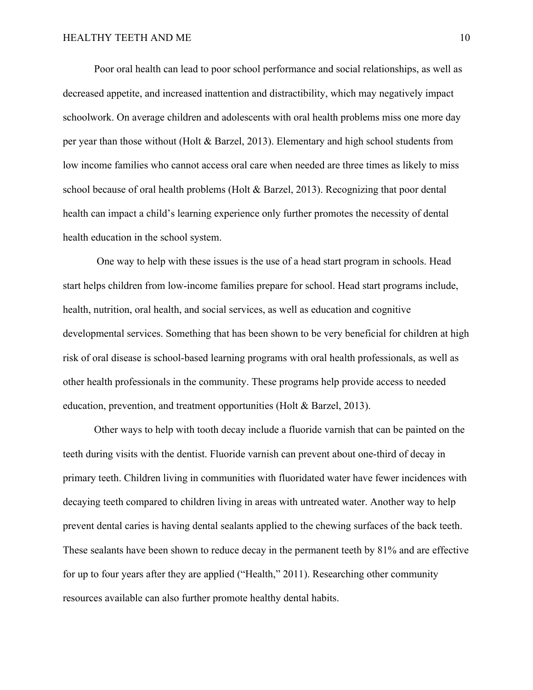Poor oral health can lead to poor school performance and social relationships, as well as decreased appetite, and increased inattention and distractibility, which may negatively impact schoolwork. On average children and adolescents with oral health problems miss one more day per year than those without (Holt & Barzel, 2013). Elementary and high school students from low income families who cannot access oral care when needed are three times as likely to miss school because of oral health problems (Holt & Barzel, 2013). Recognizing that poor dental health can impact a child's learning experience only further promotes the necessity of dental health education in the school system.

One way to help with these issues is the use of a head start program in schools. Head start helps children from low-income families prepare for school. Head start programs include, health, nutrition, oral health, and social services, as well as education and cognitive developmental services. Something that has been shown to be very beneficial for children at high risk of oral disease is school-based learning programs with oral health professionals, as well as other health professionals in the community. These programs help provide access to needed education, prevention, and treatment opportunities (Holt & Barzel, 2013).

Other ways to help with tooth decay include a fluoride varnish that can be painted on the teeth during visits with the dentist. Fluoride varnish can prevent about one-third of decay in primary teeth. Children living in communities with fluoridated water have fewer incidences with decaying teeth compared to children living in areas with untreated water. Another way to help prevent dental caries is having dental sealants applied to the chewing surfaces of the back teeth. These sealants have been shown to reduce decay in the permanent teeth by 81% and are effective for up to four years after they are applied ("Health," 2011). Researching other community resources available can also further promote healthy dental habits.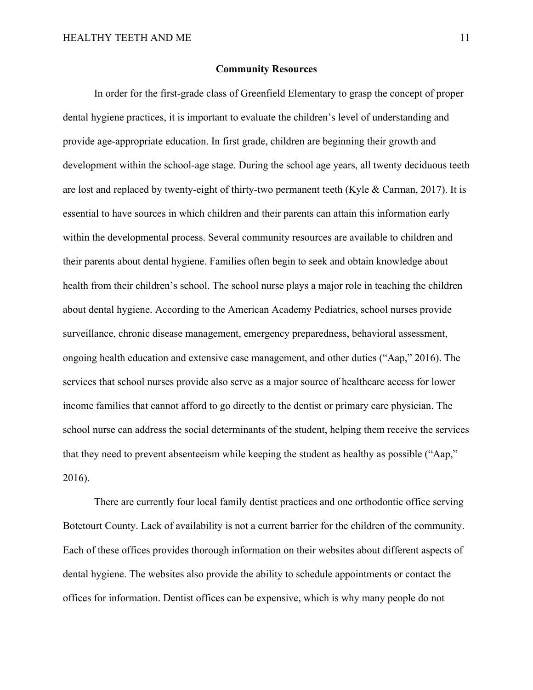# **Community Resources**

In order for the first-grade class of Greenfield Elementary to grasp the concept of proper dental hygiene practices, it is important to evaluate the children's level of understanding and provide age-appropriate education. In first grade, children are beginning their growth and development within the school-age stage. During the school age years, all twenty deciduous teeth are lost and replaced by twenty-eight of thirty-two permanent teeth (Kyle  $\&$  Carman, 2017). It is essential to have sources in which children and their parents can attain this information early within the developmental process. Several community resources are available to children and their parents about dental hygiene. Families often begin to seek and obtain knowledge about health from their children's school. The school nurse plays a major role in teaching the children about dental hygiene. According to the American Academy Pediatrics, school nurses provide surveillance, chronic disease management, emergency preparedness, behavioral assessment, ongoing health education and extensive case management, and other duties ("Aap," 2016). The services that school nurses provide also serve as a major source of healthcare access for lower income families that cannot afford to go directly to the dentist or primary care physician. The school nurse can address the social determinants of the student, helping them receive the services that they need to prevent absenteeism while keeping the student as healthy as possible ("Aap," 2016).

There are currently four local family dentist practices and one orthodontic office serving Botetourt County. Lack of availability is not a current barrier for the children of the community. Each of these offices provides thorough information on their websites about different aspects of dental hygiene. The websites also provide the ability to schedule appointments or contact the offices for information. Dentist offices can be expensive, which is why many people do not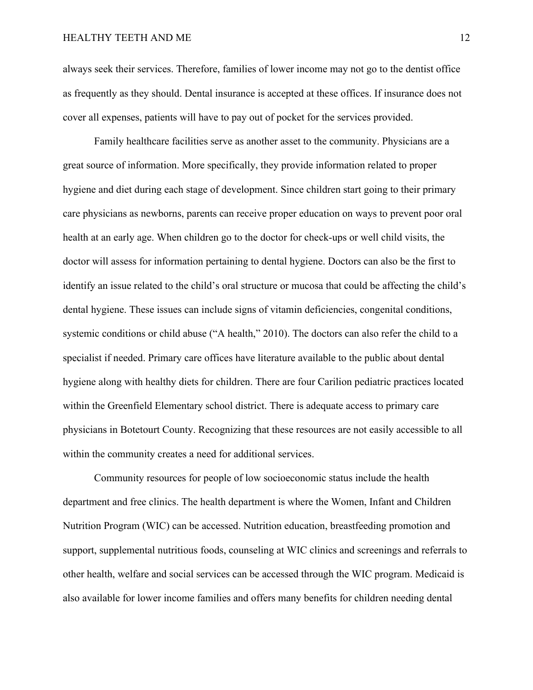always seek their services. Therefore, families of lower income may not go to the dentist office as frequently as they should. Dental insurance is accepted at these offices. If insurance does not cover all expenses, patients will have to pay out of pocket for the services provided.

Family healthcare facilities serve as another asset to the community. Physicians are a great source of information. More specifically, they provide information related to proper hygiene and diet during each stage of development. Since children start going to their primary care physicians as newborns, parents can receive proper education on ways to prevent poor oral health at an early age. When children go to the doctor for check-ups or well child visits, the doctor will assess for information pertaining to dental hygiene. Doctors can also be the first to identify an issue related to the child's oral structure or mucosa that could be affecting the child's dental hygiene. These issues can include signs of vitamin deficiencies, congenital conditions, systemic conditions or child abuse ("A health," 2010). The doctors can also refer the child to a specialist if needed. Primary care offices have literature available to the public about dental hygiene along with healthy diets for children. There are four Carilion pediatric practices located within the Greenfield Elementary school district. There is adequate access to primary care physicians in Botetourt County. Recognizing that these resources are not easily accessible to all within the community creates a need for additional services.

Community resources for people of low socioeconomic status include the health department and free clinics. The health department is where the Women, Infant and Children Nutrition Program (WIC) can be accessed. Nutrition education, breastfeeding promotion and support, supplemental nutritious foods, counseling at WIC clinics and screenings and referrals to other health, welfare and social services can be accessed through the WIC program. Medicaid is also available for lower income families and offers many benefits for children needing dental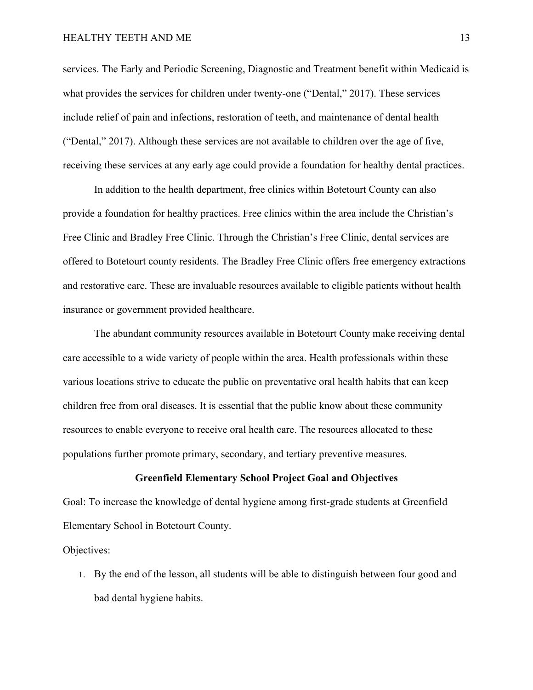services. The Early and Periodic Screening, Diagnostic and Treatment benefit within Medicaid is what provides the services for children under twenty-one ("Dental," 2017). These services include relief of pain and infections, restoration of teeth, and maintenance of dental health ("Dental," 2017). Although these services are not available to children over the age of five, receiving these services at any early age could provide a foundation for healthy dental practices.

In addition to the health department, free clinics within Botetourt County can also provide a foundation for healthy practices. Free clinics within the area include the Christian's Free Clinic and Bradley Free Clinic. Through the Christian's Free Clinic, dental services are offered to Botetourt county residents. The Bradley Free Clinic offers free emergency extractions and restorative care. These are invaluable resources available to eligible patients without health insurance or government provided healthcare.

The abundant community resources available in Botetourt County make receiving dental care accessible to a wide variety of people within the area. Health professionals within these various locations strive to educate the public on preventative oral health habits that can keep children free from oral diseases. It is essential that the public know about these community resources to enable everyone to receive oral health care. The resources allocated to these populations further promote primary, secondary, and tertiary preventive measures.

# **Greenfield Elementary School Project Goal and Objectives**

Goal: To increase the knowledge of dental hygiene among first-grade students at Greenfield Elementary School in Botetourt County.

Objectives:

1. By the end of the lesson, all students will be able to distinguish between four good and bad dental hygiene habits.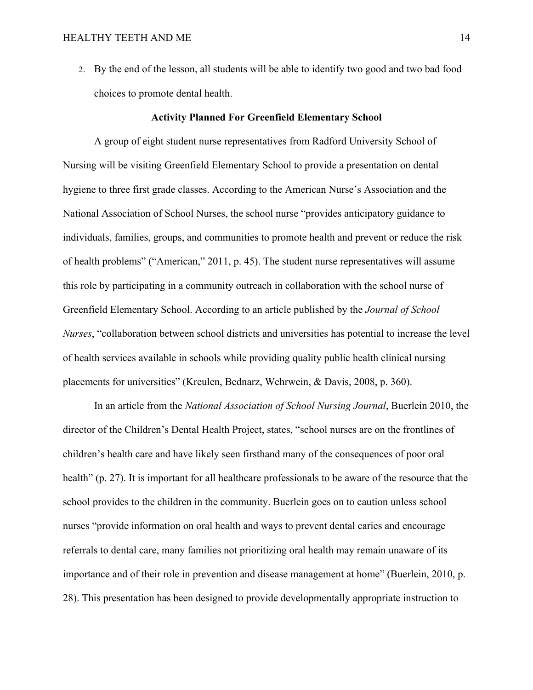2. By the end of the lesson, all students will be able to identify two good and two bad food choices to promote dental health.

#### **Activity Planned For Greenfield Elementary School**

A group of eight student nurse representatives from Radford University School of Nursing will be visiting Greenfield Elementary School to provide a presentation on dental hygiene to three first grade classes. According to the American Nurse's Association and the National Association of School Nurses, the school nurse "provides anticipatory guidance to individuals, families, groups, and communities to promote health and prevent or reduce the risk of health problems" ("American," 2011, p. 45). The student nurse representatives will assume this role by participating in a community outreach in collaboration with the school nurse of Greenfield Elementary School. According to an article published by the *Journal of School Nurses*, "collaboration between school districts and universities has potential to increase the level of health services available in schools while providing quality public health clinical nursing placements for universities" (Kreulen, Bednarz, Wehrwein, & Davis, 2008, p. 360).

In an article from the *National Association of School Nursing Journal*, Buerlein 2010, the director of the Children's Dental Health Project, states, "school nurses are on the frontlines of children's health care and have likely seen firsthand many of the consequences of poor oral health" (p. 27). It is important for all healthcare professionals to be aware of the resource that the school provides to the children in the community. Buerlein goes on to caution unless school nurses "provide information on oral health and ways to prevent dental caries and encourage referrals to dental care, many families not prioritizing oral health may remain unaware of its importance and of their role in prevention and disease management at home" (Buerlein, 2010, p. 28). This presentation has been designed to provide developmentally appropriate instruction to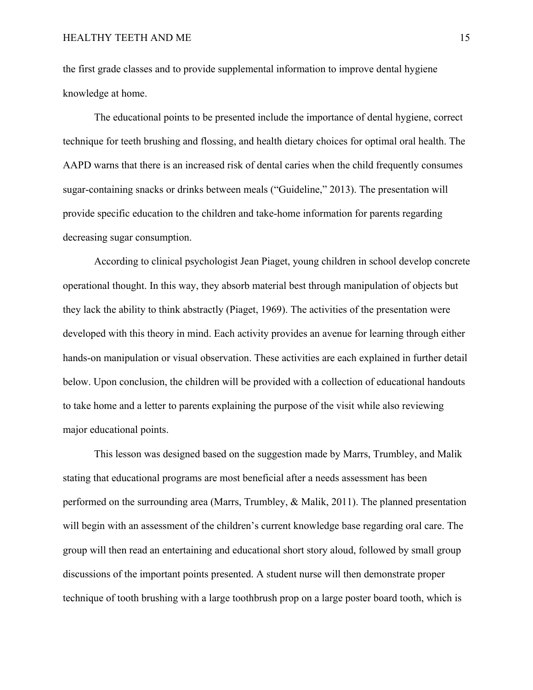the first grade classes and to provide supplemental information to improve dental hygiene knowledge at home.

The educational points to be presented include the importance of dental hygiene, correct technique for teeth brushing and flossing, and health dietary choices for optimal oral health. The AAPD warns that there is an increased risk of dental caries when the child frequently consumes sugar-containing snacks or drinks between meals ("Guideline," 2013). The presentation will provide specific education to the children and take-home information for parents regarding decreasing sugar consumption.

According to clinical psychologist Jean Piaget, young children in school develop concrete operational thought. In this way, they absorb material best through manipulation of objects but they lack the ability to think abstractly (Piaget, 1969). The activities of the presentation were developed with this theory in mind. Each activity provides an avenue for learning through either hands-on manipulation or visual observation. These activities are each explained in further detail below. Upon conclusion, the children will be provided with a collection of educational handouts to take home and a letter to parents explaining the purpose of the visit while also reviewing major educational points.

This lesson was designed based on the suggestion made by Marrs, Trumbley, and Malik stating that educational programs are most beneficial after a needs assessment has been performed on the surrounding area (Marrs, Trumbley, & Malik, 2011). The planned presentation will begin with an assessment of the children's current knowledge base regarding oral care. The group will then read an entertaining and educational short story aloud, followed by small group discussions of the important points presented. A student nurse will then demonstrate proper technique of tooth brushing with a large toothbrush prop on a large poster board tooth, which is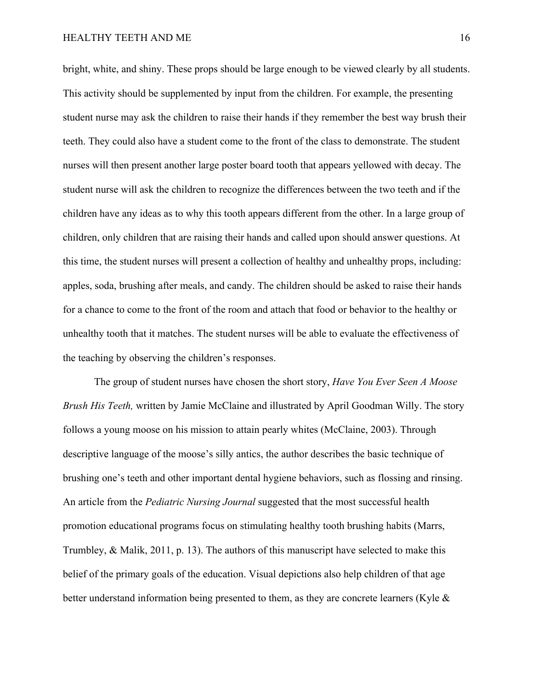bright, white, and shiny. These props should be large enough to be viewed clearly by all students. This activity should be supplemented by input from the children. For example, the presenting student nurse may ask the children to raise their hands if they remember the best way brush their teeth. They could also have a student come to the front of the class to demonstrate. The student nurses will then present another large poster board tooth that appears yellowed with decay. The student nurse will ask the children to recognize the differences between the two teeth and if the children have any ideas as to why this tooth appears different from the other. In a large group of children, only children that are raising their hands and called upon should answer questions. At this time, the student nurses will present a collection of healthy and unhealthy props, including: apples, soda, brushing after meals, and candy. The children should be asked to raise their hands for a chance to come to the front of the room and attach that food or behavior to the healthy or unhealthy tooth that it matches. The student nurses will be able to evaluate the effectiveness of the teaching by observing the children's responses.

The group of student nurses have chosen the short story, *Have You Ever Seen A Moose Brush His Teeth,* written by Jamie McClaine and illustrated by April Goodman Willy. The story follows a young moose on his mission to attain pearly whites (McClaine, 2003). Through descriptive language of the moose's silly antics, the author describes the basic technique of brushing one's teeth and other important dental hygiene behaviors, such as flossing and rinsing. An article from the *Pediatric Nursing Journal* suggested that the most successful health promotion educational programs focus on stimulating healthy tooth brushing habits (Marrs, Trumbley, & Malik, 2011, p. 13). The authors of this manuscript have selected to make this belief of the primary goals of the education. Visual depictions also help children of that age better understand information being presented to them, as they are concrete learners (Kyle &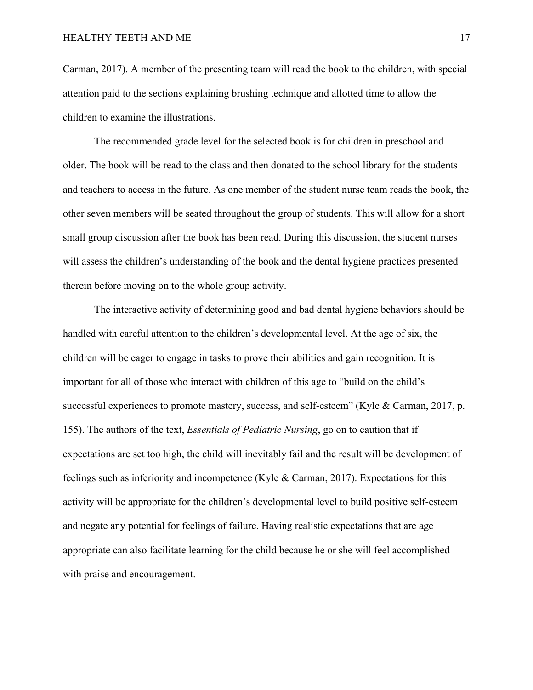Carman, 2017). A member of the presenting team will read the book to the children, with special attention paid to the sections explaining brushing technique and allotted time to allow the children to examine the illustrations.

The recommended grade level for the selected book is for children in preschool and older. The book will be read to the class and then donated to the school library for the students and teachers to access in the future. As one member of the student nurse team reads the book, the other seven members will be seated throughout the group of students. This will allow for a short small group discussion after the book has been read. During this discussion, the student nurses will assess the children's understanding of the book and the dental hygiene practices presented therein before moving on to the whole group activity.

The interactive activity of determining good and bad dental hygiene behaviors should be handled with careful attention to the children's developmental level. At the age of six, the children will be eager to engage in tasks to prove their abilities and gain recognition. It is important for all of those who interact with children of this age to "build on the child's successful experiences to promote mastery, success, and self-esteem" (Kyle & Carman, 2017, p. 155). The authors of the text, *Essentials of Pediatric Nursing*, go on to caution that if expectations are set too high, the child will inevitably fail and the result will be development of feelings such as inferiority and incompetence (Kyle & Carman, 2017). Expectations for this activity will be appropriate for the children's developmental level to build positive self-esteem and negate any potential for feelings of failure. Having realistic expectations that are age appropriate can also facilitate learning for the child because he or she will feel accomplished with praise and encouragement.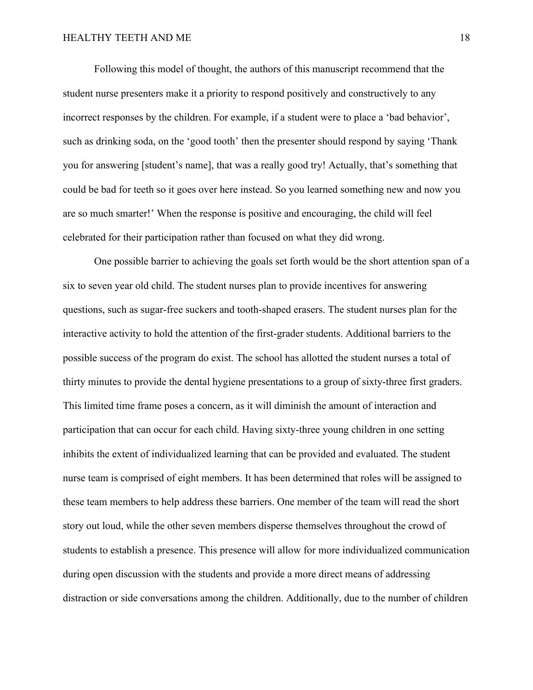Following this model of thought, the authors of this manuscript recommend that the student nurse presenters make it a priority to respond positively and constructively to any incorrect responses by the children. For example, if a student were to place a 'bad behavior', such as drinking soda, on the 'good tooth' then the presenter should respond by saying 'Thank you for answering [student's name], that was a really good try! Actually, that's something that could be bad for teeth so it goes over here instead. So you learned something new and now you are so much smarter!' When the response is positive and encouraging, the child will feel celebrated for their participation rather than focused on what they did wrong.

One possible barrier to achieving the goals set forth would be the short attention span of a six to seven year old child. The student nurses plan to provide incentives for answering questions, such as sugar-free suckers and tooth-shaped erasers. The student nurses plan for the interactive activity to hold the attention of the first-grader students. Additional barriers to the possible success of the program do exist. The school has allotted the student nurses a total of thirty minutes to provide the dental hygiene presentations to a group of sixty-three first graders. This limited time frame poses a concern, as it will diminish the amount of interaction and participation that can occur for each child. Having sixty-three young children in one setting inhibits the extent of individualized learning that can be provided and evaluated. The student nurse team is comprised of eight members. It has been determined that roles will be assigned to these team members to help address these barriers. One member of the team will read the short story out loud, while the other seven members disperse themselves throughout the crowd of students to establish a presence. This presence will allow for more individualized communication during open discussion with the students and provide a more direct means of addressing distraction or side conversations among the children. Additionally, due to the number of children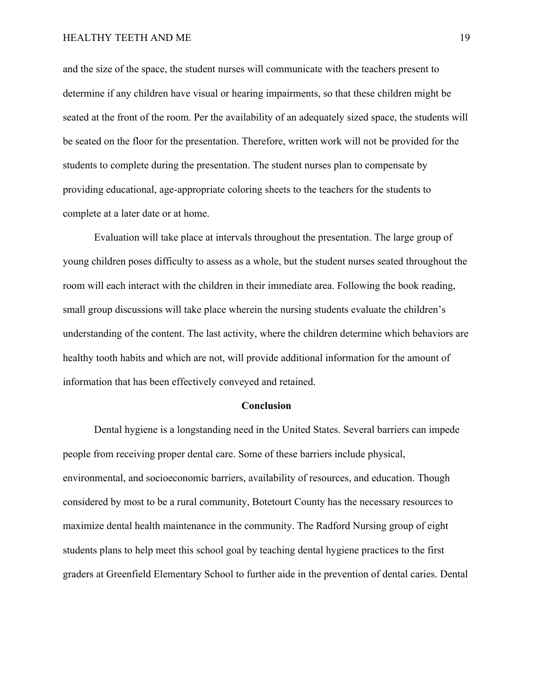and the size of the space, the student nurses will communicate with the teachers present to determine if any children have visual or hearing impairments, so that these children might be seated at the front of the room. Per the availability of an adequately sized space, the students will be seated on the floor for the presentation. Therefore, written work will not be provided for the students to complete during the presentation. The student nurses plan to compensate by providing educational, age-appropriate coloring sheets to the teachers for the students to complete at a later date or at home.

Evaluation will take place at intervals throughout the presentation. The large group of young children poses difficulty to assess as a whole, but the student nurses seated throughout the room will each interact with the children in their immediate area. Following the book reading, small group discussions will take place wherein the nursing students evaluate the children's understanding of the content. The last activity, where the children determine which behaviors are healthy tooth habits and which are not, will provide additional information for the amount of information that has been effectively conveyed and retained.

#### **Conclusion**

Dental hygiene is a longstanding need in the United States. Several barriers can impede people from receiving proper dental care. Some of these barriers include physical, environmental, and socioeconomic barriers, availability of resources, and education. Though considered by most to be a rural community, Botetourt County has the necessary resources to maximize dental health maintenance in the community. The Radford Nursing group of eight students plans to help meet this school goal by teaching dental hygiene practices to the first graders at Greenfield Elementary School to further aide in the prevention of dental caries. Dental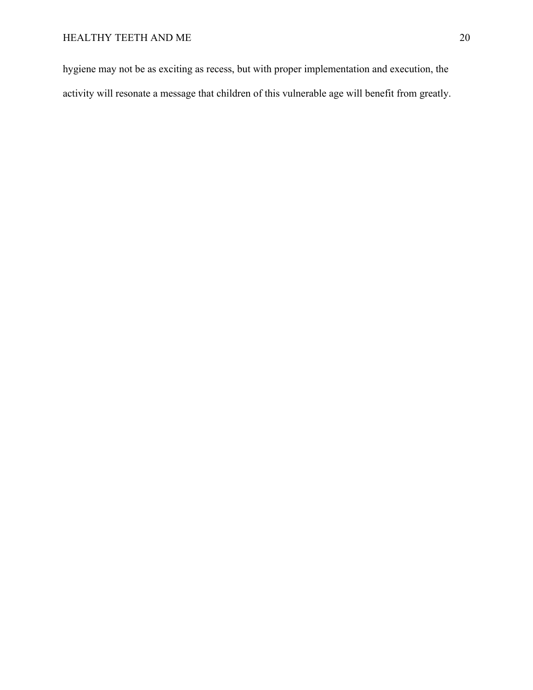hygiene may not be as exciting as recess, but with proper implementation and execution, the activity will resonate a message that children of this vulnerable age will benefit from greatly.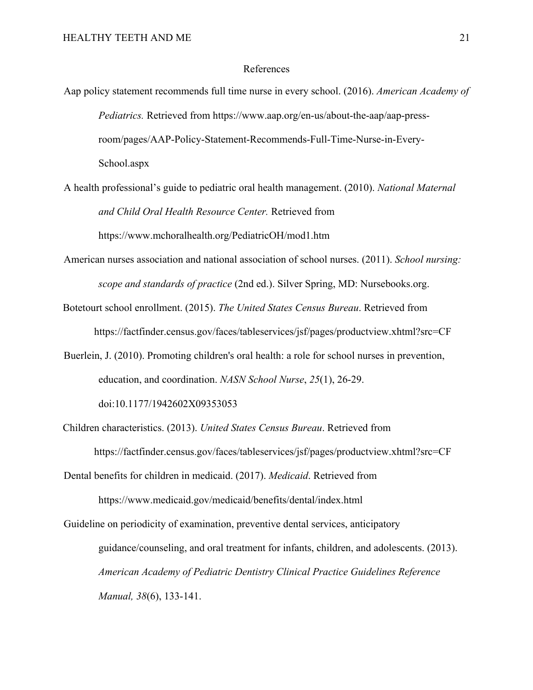## References

- Aap policy statement recommends full time nurse in every school. (2016). *American Academy of Pediatrics.* Retrieved from https://www.aap.org/en-us/about-the-aap/aap-pressroom/pages/AAP-Policy-Statement-Recommends-Full-Time-Nurse-in-Every-School.aspx
- A health professional's guide to pediatric oral health management. (2010). *National Maternal and Child Oral Health Resource Center.* Retrieved from https://www.mchoralhealth.org/PediatricOH/mod1.htm
- American nurses association and national association of school nurses. (2011). *School nursing: scope and standards of practice* (2nd ed.). Silver Spring, MD: Nursebooks.org.
- Botetourt school enrollment. (2015). *The United States Census Bureau*. Retrieved from https://factfinder.census.gov/faces/tableservices/jsf/pages/productview.xhtml?src=CF
- Buerlein, J. (2010). Promoting children's oral health: a role for school nurses in prevention, education, and coordination. *NASN School Nurse*, *25*(1), 26-29. doi:10.1177/1942602X09353053
- Children characteristics. (2013). *United States Census Bureau*. Retrieved from https://factfinder.census.gov/faces/tableservices/jsf/pages/productview.xhtml?src=CF

Dental benefits for children in medicaid. (2017). *Medicaid*. Retrieved from

https://www.medicaid.gov/medicaid/benefits/dental/index.html

Guideline on periodicity of examination, preventive dental services, anticipatory guidance/counseling, and oral treatment for infants, children, and adolescents. (2013). *American Academy of Pediatric Dentistry Clinical Practice Guidelines Reference Manual, 38*(6), 133-141.